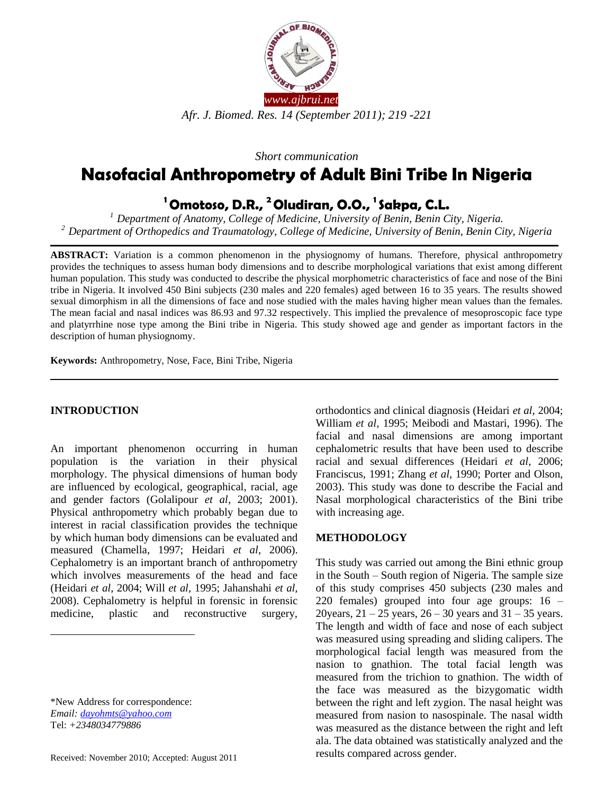

*Short communication*

# **Nasofacial Anthropometry of Adult Bini Tribe In Nigeria**

## **<sup>1</sup>Omotoso, D.R., <sup>2</sup>Oludiran, O.O., <sup>1</sup>Sakpa, C.L.**

*<sup>1</sup>Department of Anatomy, College of Medicine, University of Benin, Benin City, Nigeria. <sup>2</sup>Department of Orthopedics and Traumatology, College of Medicine, University of Benin, Benin City, Nigeria*

**ABSTRACT:** Variation is a common phenomenon in the physiognomy of humans. Therefore, physical anthropometry provides the techniques to assess human body dimensions and to describe morphological variations that exist among different human population. This study was conducted to describe the physical morphometric characteristics of face and nose of the Bini tribe in Nigeria. It involved 450 Bini subjects (230 males and 220 females) aged between 16 to 35 years. The results showed sexual dimorphism in all the dimensions of face and nose studied with the males having higher mean values than the females. The mean facial and nasal indices was 86.93 and 97.32 respectively. This implied the prevalence of mesoproscopic face type and platyrrhine nose type among the Bini tribe in Nigeria. This study showed age and gender as important factors in the description of human physiognomy.

**Keywords:** Anthropometry, Nose, Face, Bini Tribe, Nigeria

## **INTRODUCTION**

An important phenomenon occurring in human population is the variation in their physical morphology. The physical dimensions of human body are influenced by ecological, geographical, racial, age and gender factors (Golalipour *et al*, 2003; 2001). Physical anthropometry which probably began due to interest in racial classification provides the technique by which human body dimensions can be evaluated and measured (Chamella, 1997; Heidari *et al*, 2006). Cephalometry is an important branch of anthropometry which involves measurements of the head and face (Heidari *et al*, 2004; Will *et al*, 1995; Jahanshahi *et al*, 2008). Cephalometry is helpful in forensic in forensic medicine, plastic and reconstructive surgery,

\*New Address for correspondence: *Email: [dayohmts@yahoo.com](mailto:dayohmts@yahoo.com)* Tel: *+2348034779886*

 $\overline{a}$ 

orthodontics and clinical diagnosis (Heidari *et al*, 2004; William *et al*, 1995; Meibodi and Mastari, 1996). The facial and nasal dimensions are among important cephalometric results that have been used to describe racial and sexual differences (Heidari *et al*, 2006; Franciscus, 1991; Zhang *et al*, 1990; Porter and Olson, 2003). This study was done to describe the Facial and Nasal morphological characteristics of the Bini tribe with increasing age.

## **METHODOLOGY**

This study was carried out among the Bini ethnic group in the South – South region of Nigeria. The sample size of this study comprises 450 subjects (230 males and 220 females) grouped into four age groups: 16 – 20 years,  $21 - 25$  years,  $26 - 30$  years and  $31 - 35$  years. The length and width of face and nose of each subject was measured using spreading and sliding calipers. The morphological facial length was measured from the nasion to gnathion. The total facial length was measured from the trichion to gnathion. The width of the face was measured as the bizygomatic width between the right and left zygion. The nasal height was measured from nasion to nasospinale. The nasal width was measured as the distance between the right and left ala. The data obtained was statistically analyzed and the results compared across gender.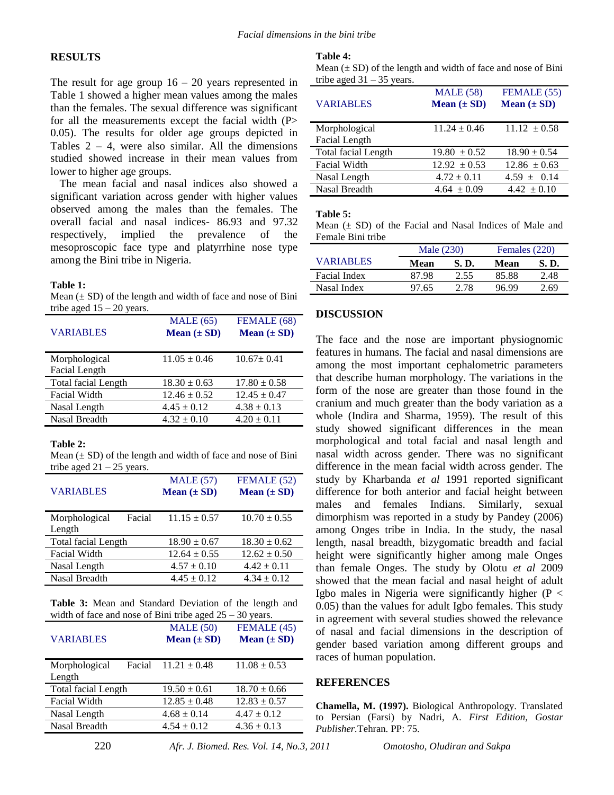## **RESULTS**

The result for age group  $16 - 20$  years represented in Table 1 showed a higher mean values among the males than the females. The sexual difference was significant for all the measurements except the facial width (P> 0.05). The results for older age groups depicted in Tables  $2 - 4$ , were also similar. All the dimensions studied showed increase in their mean values from lower to higher age groups.

The mean facial and nasal indices also showed a significant variation across gender with higher values observed among the males than the females. The overall facial and nasal indices- 86.93 and 97.32 respectively, implied the prevalence of the mesoproscopic face type and platyrrhine nose type among the Bini tribe in Nigeria.

#### **Table 1:**

Mean  $(\pm SD)$  of the length and width of face and nose of Bini tribe aged  $15 - 20$  years.

| <b>VARIABLES</b>               | MALE(65)<br>Mean $(\pm SD)$ | FEMALE (68)<br>Mean $(\pm SD)$ |
|--------------------------------|-----------------------------|--------------------------------|
| Morphological<br>Facial Length | $11.05 \pm 0.46$            | $10.67 \pm 0.41$               |
| <b>Total facial Length</b>     | $18.30 \pm 0.63$            | $17.80 \pm 0.58$               |
| Facial Width                   | $12.46 \pm 0.52$            | $12.45 \pm 0.47$               |
| Nasal Length                   | $4.45 \pm 0.12$             | $4.38 \pm 0.13$                |
| Nasal Breadth                  | $4.32 \pm 0.10$             | $4.20 \pm 0.11$                |

#### **Table 2:**

Mean  $(\pm SD)$  of the length and width of face and nose of Bini tribe aged  $21 - 25$  years.

| <b>VARIABLES</b>                  | MALE(57)<br>Mean $(\pm SD)$ | FEMALE (52)<br>Mean $(\pm SD)$ |  |
|-----------------------------------|-----------------------------|--------------------------------|--|
| Facial<br>Morphological<br>Length | $11.15 \pm 0.57$            | $10.70 \pm 0.55$               |  |
| <b>Total facial Length</b>        | $18.90 \pm 0.67$            | $18.30 \pm 0.62$               |  |
| Facial Width                      | $12.64 \pm 0.55$            | $12.62 \pm 0.50$               |  |
| Nasal Length                      | $4.57 \pm 0.10$             | $4.42 \pm 0.11$                |  |
| Nasal Breadth                     | $4.45 \pm 0.12$             | $4.34 \pm 0.12$                |  |

**Table 3:** Mean and Standard Deviation of the length and width of face and nose of Bini tribe aged  $25 - 30$  years.

| <b>VARIABLES</b>                  | MALE(50)<br>Mean $(\pm SD)$ | FEMALE (45)<br>Mean $(\pm SD)$ |
|-----------------------------------|-----------------------------|--------------------------------|
| Facial<br>Morphological<br>Length | $11.21 \pm 0.48$            | $11.08 \pm 0.53$               |
| Total facial Length               | $19.50 \pm 0.61$            | $18.70 \pm 0.66$               |
| <b>Facial Width</b>               | $12.85 \pm 0.48$            | $12.83 \pm 0.57$               |
| Nasal Length                      | $4.68 \pm 0.14$             | $4.47 \pm 0.12$                |
| Nasal Breadth                     | $4.54 \pm 0.12$             | $4.36 \pm 0.13$                |
|                                   |                             |                                |

#### **Table 4:**

Mean  $(\pm SD)$  of the length and width of face and nose of Bini tribe aged  $31 - 35$  years.

| <b>VARIABLES</b>           | <b>MALE</b> (58)<br>Mean $(\pm SD)$ | FEMALE (55)<br>Mean $(\pm SD)$ |
|----------------------------|-------------------------------------|--------------------------------|
| Morphological              | $11.24 \pm 0.46$                    | $11.12 \pm 0.58$               |
| Facial Length              |                                     |                                |
| <b>Total facial Length</b> | $19.80 \pm 0.52$                    | $18.90 \pm 0.54$               |
| Facial Width               | $12.92 \pm 0.53$                    | $12.86 \pm 0.63$               |
| Nasal Length               | $4.72 \pm 0.11$                     | $4.59 \pm 0.14$                |
| Nasal Breadth              | $4.64 \pm 0.09$                     | $4.42 \pm 0.10$                |

#### **Table 5:**

Mean  $(\pm SD)$  of the Facial and Nasal Indices of Male and Female Bini tribe

|                  | Male (230) |       | Females (220) |      |
|------------------|------------|-------|---------------|------|
| <b>VARIABLES</b> | Mean       | S. D. | Mean          | S.D. |
| Facial Index     | 87 98      | 2.55  | 85.88         | 2.48 |
| Nasal Index      | 97.65      | 2.78  | 96.99         | 2.69 |

#### **DISCUSSION**

The face and the nose are important physiognomic features in humans. The facial and nasal dimensions are among the most important cephalometric parameters that describe human morphology. The variations in the form of the nose are greater than those found in the cranium and much greater than the body variation as a whole (Indira and Sharma, 1959). The result of this study showed significant differences in the mean morphological and total facial and nasal length and nasal width across gender. There was no significant difference in the mean facial width across gender. The study by Kharbanda *et al* 1991 reported significant difference for both anterior and facial height between males and females Indians. Similarly, sexual dimorphism was reported in a study by Pandey (2006) among Onges tribe in India. In the study, the nasal length, nasal breadth, bizygomatic breadth and facial height were significantly higher among male Onges than female Onges. The study by Olotu *et al* 2009 showed that the mean facial and nasal height of adult Igbo males in Nigeria were significantly higher ( $P <$ 0.05) than the values for adult Igbo females. This study in agreement with several studies showed the relevance of nasal and facial dimensions in the description of gender based variation among different groups and races of human population.

### **REFERENCES**

**Chamella, M. (1997).** Biological Anthropology. Translated to Persian (Farsi) by Nadri, A. *First Edition, Gostar Publisher.*Tehran. PP: 75.